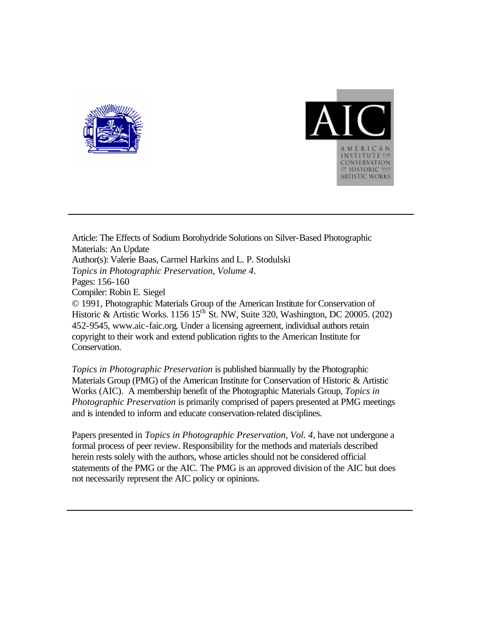



Article: The Effects of Sodium Borohydride Solutions on Silver-Based Photographic Materials: An Update Author(s): Valerie Baas, Carmel Harkins and L. P. Stodulski *Topics in Photographic Preservation, Volume 4*. Pages: 156-160 Compiler: Robin E. Siegel © 1991, Photographic Materials Group of the American Institute for Conservation of Historic & Artistic Works. 1156 15<sup>th</sup> St. NW, Suite 320, Washington, DC 20005. (202) 452-9545, www.aic-faic.org. Under a licensing agreement, individual authors retain copyright to their work and extend publication rights to the American Institute for Conservation.

*Topics in Photographic Preservation* is published biannually by the Photographic Materials Group (PMG) of the American Institute for Conservation of Historic & Artistic Works (AIC). A membership benefit of the Photographic Materials Group, *Topics in Photographic Preservation* is primarily comprised of papers presented at PMG meetings and is intended to inform and educate conservation-related disciplines.

Papers presented in *Topics in Photographic Preservation, Vol. 4*, have not undergone a formal process of peer review. Responsibility for the methods and materials described herein rests solely with the authors, whose articles should not be considered official statements of the PMG or the AIC. The PMG is an approved division of the AIC but does not necessarily represent the AIC policy or opinions.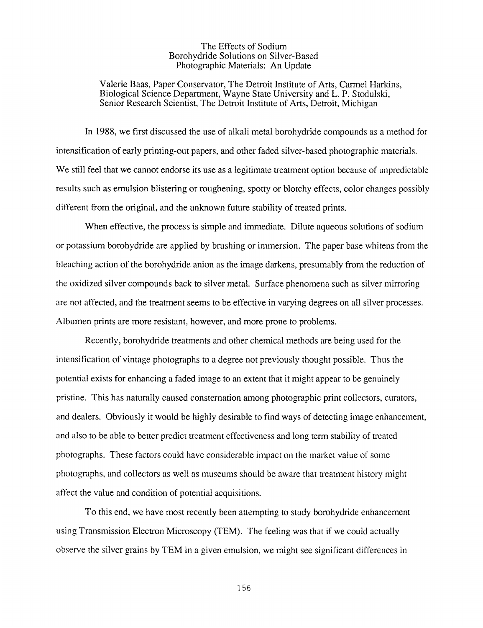## The Effects of Sodium Borohydride Solutions on Silver-Based Photographic Materials: An Update

Valerie Baas, Paper Conservator, The Detroit Institute of Arts, Carmel Harkins, Biological Science Department, Wayne State University and L. P. Stodulski, Senior Research Scientist, The Detroit Institute of Arts, Detroit, Michigan

In 1988, we first discussed the use of alkali metal borohydride compounds as a method for intensification of early printing-out papers, and other faded silver-based photographic materials. We still feel that we cannot endorse its use as a legitimate treatment option because of unpredictable results such as emulsion blistering or roughening, spotty or blotchy effects, color changes possibly different from the original, and the unknown future stability of treated prints.

When effective, the process is simple and immediate. Dilute aqueous solutions of sodium or potassium borohydride are applied by brushing or immersion. The paper base whitens from the bleaching action of the borohydride anion as the image darkens, presumably from the reduction of the oxidized silver compounds back to silver metal. Surface phenomena such as silver mirroring are not affected, and the treatment seems to be effective in varying degrees on all silver processes. Albumen prints are more resistant, however, and more prone to problems.

Recently, borohydride treatments and other chemical methods are being used for the intensification of vintage photographs to a degree not previously thought possible. Thus the potential exists for enhancing a faded image to an extent that it might appear to be genuinely pristine. This has naturally caused consternation among photographic print collectors, curators, and dealers. Obviously it would be highly desirable to find ways of detecting image enhancement, and also to be able to better predict treatment effectiveness and long term stability of treated photographs. These factors could have considerable impact on the market value of some photographs, and collectors as well as museums should be aware that treatment history might affect the value and condition of potential acquisitions.

To this end, we have most recently been attempting to study borohydride enhancement using Transmission Electron Microscopy (TEM). The feeling was that if we could actually observe the silver grains by TEM in a given emulsion, we might see significant differences in

156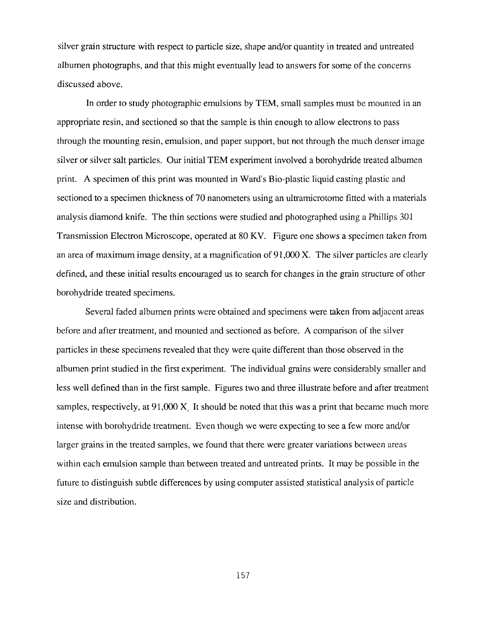silver grain structure with respect to particle size, shape and/or quantity in treated and untreated albumen photographs, and that this might eventually lead to answers for some of the concerns discussed above.

In order to study photographic emulsions by TEM, small samples must be mounted in an appropriate resin, and sectioned so that the sample is thin enough to allow electrons to pass through the mounting resin, emulsion, and paper support, but not through the much denser image silver or silver salt particles. Our initial TEM experiment involved a borohydride treated albumen print. **A** specimen of this print was mounted in Ward's Bio-plastic liquid casting plastic and sectioned to a specimen thickness of 70 nanometers using an ultramicrotome fitted with a materials analysis diamond knife. The thin sections were studied and photographed using a Phillips 301 Transmission Electron Microscope, operated at 80 KV. Figure one shows a specimen taken from an area of maximum image density, at a magnification of 91,000 X. The silver particles are clearly defined, and these initial results encouraged us to search for changes in the grain structure of other borohydride treated specimens.

Several faded albumen prints were obtained and specimens were taken from adjacent areas before and after treatment, and mounted and sectioned as before. **A** comparison of the silver particles in these specimens revealed that they were quite different than those observed in the albumen print studied in the first experiment. The individual grains were considerably smaller and less well defined than in the first sample. Figures two and three illustrate before and after treatment samples, respectively, at 91,000 **X.** It should be noted that this was a print that became much more intense with borohydride treatment. Even though we were expecting to see a few more and/or larger grains in the treated samples, we found that there were greater variations between areas within each emulsion sample than between treated and untreated prints. It may be possible in the future to distinguish subtle differences by using computer assisted statistical analysis of particle size and distribution.

157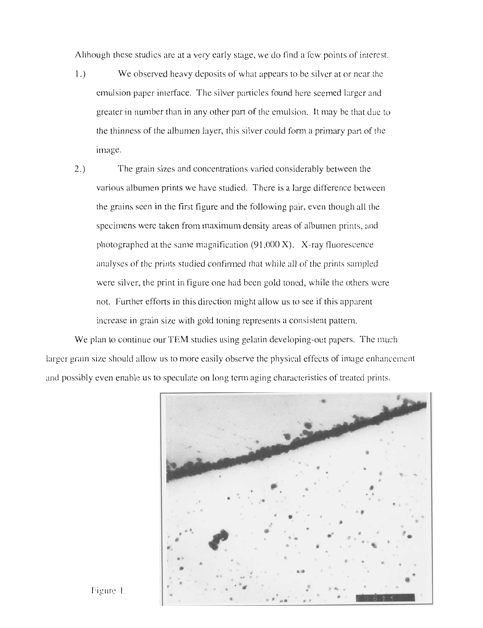Although these studies are at a very early stage, we do find a few points of interest.

- 1.) We observed heavy deposits of what appears to be silver at or near the emulsion paper interface. The silver particles found here seemed larger and greater in number than in any other put of the emulsion. It may be that due to the thinness of the albumen layer, this silver could form a primary part of the image.
- 2.) The grain sizes and concentrations varied considerably between the various albumen prints we have studied. There is a large difference between the grains seen in the first figure and the following pair, even though all the specimens were taken from maximum density areas of albumen prints. and photographed at the same magnification (91,000 X). X-ray fluorescence analyses of the prints studied confirmed that while all of the prints sampled were silver, the print in figure one had been gold toned, while the others were not. Further efforts in this direction might allow us to see if this apparent increase in grain size with gold toning represents a consistent pattern.

We plan to continue our TEM studies using gelatin developing-out papers. The much larger grain size should allow us to more easily observe the physical effects of image enhancement and possibly even enable us to speculate on long term aging characteristics of treated prints.



Figure 1.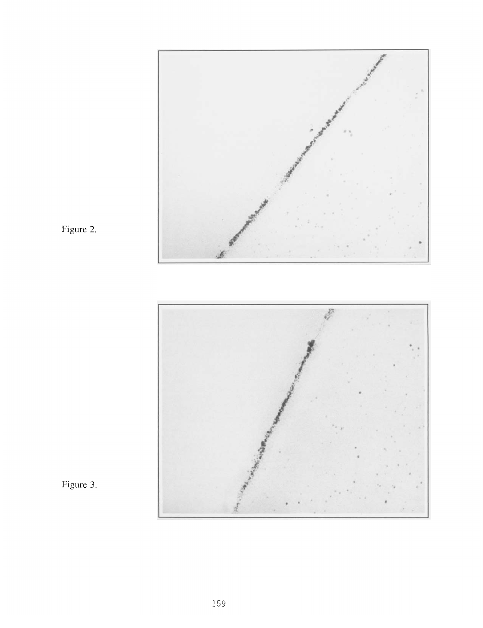

Figure 2.



Figure 3.